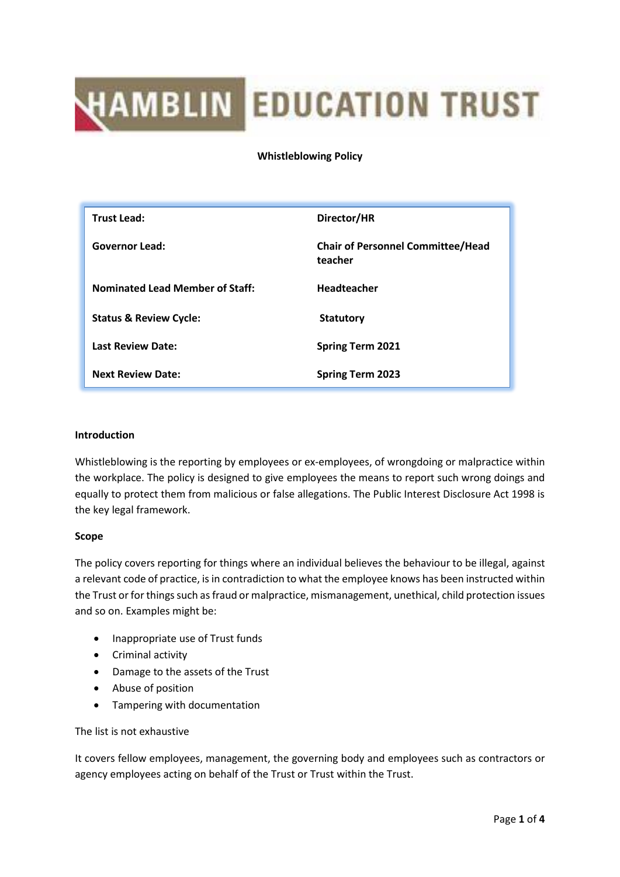# **HAMBLIN EDUCATION TRUST**

**Whistleblowing Policy**

| <b>Trust Lead:</b>                     | Director/HR                                         |
|----------------------------------------|-----------------------------------------------------|
| <b>Governor Lead:</b>                  | <b>Chair of Personnel Committee/Head</b><br>teacher |
| <b>Nominated Lead Member of Staff:</b> | <b>Headteacher</b>                                  |
| <b>Status &amp; Review Cycle:</b>      | <b>Statutory</b>                                    |
| <b>Last Review Date:</b>               | <b>Spring Term 2021</b>                             |
| <b>Next Review Date:</b>               | <b>Spring Term 2023</b>                             |

## **Introduction**

Whistleblowing is the reporting by employees or ex-employees, of wrongdoing or malpractice within the workplace. The policy is designed to give employees the means to report such wrong doings and equally to protect them from malicious or false allegations. The Public Interest Disclosure Act 1998 is the key legal framework.

## **Scope**

The policy covers reporting for things where an individual believes the behaviour to be illegal, against a relevant code of practice, is in contradiction to what the employee knows has been instructed within the Trust or for things such as fraud or malpractice, mismanagement, unethical, child protection issues and so on. Examples might be:

- Inappropriate use of Trust funds
- Criminal activity
- Damage to the assets of the Trust
- Abuse of position
- Tampering with documentation

## The list is not exhaustive

It covers fellow employees, management, the governing body and employees such as contractors or agency employees acting on behalf of the Trust or Trust within the Trust.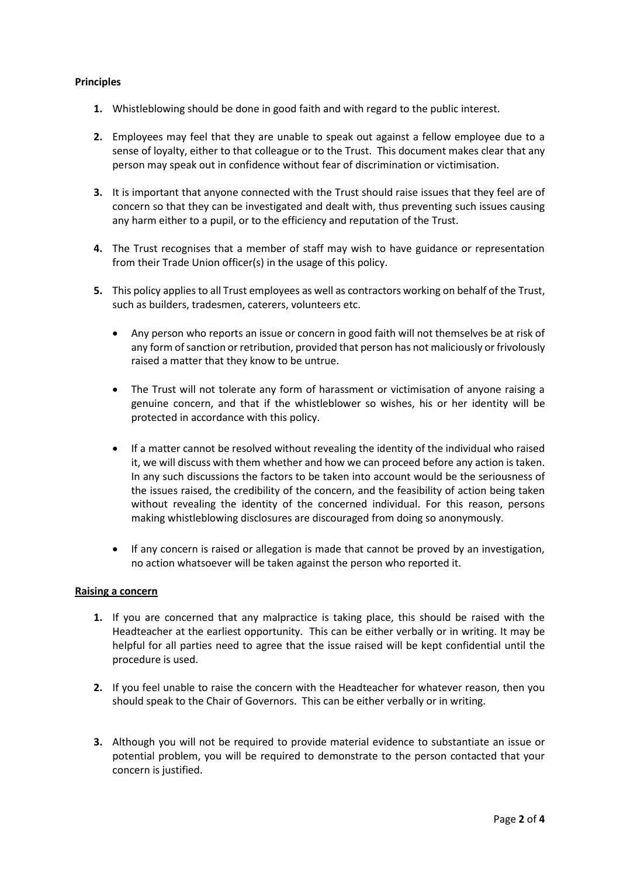## **Principles**

- **1.** Whistleblowing should be done in good faith and with regard to the public interest.
- **2.** Employees may feel that they are unable to speak out against a fellow employee due to a sense of loyalty, either to that colleague or to the Trust. This document makes clear that any person may speak out in confidence without fear of discrimination or victimisation.
- **3.** It is important that anyone connected with the Trust should raise issues that they feel are of concern so that they can be investigated and dealt with, thus preventing such issues causing any harm either to a pupil, or to the efficiency and reputation of the Trust.
- **4.** The Trust recognises that a member of staff may wish to have guidance or representation from their Trade Union officer(s) in the usage of this policy.
- **5.** This policy applies to all Trust employees as well as contractors working on behalf of the Trust, such as builders, tradesmen, caterers, volunteers etc.
	- Any person who reports an issue or concern in good faith will not themselves be at risk of any form of sanction or retribution, provided that person has not maliciously or frivolously raised a matter that they know to be untrue.
	- The Trust will not tolerate any form of harassment or victimisation of anyone raising a genuine concern, and that if the whistleblower so wishes, his or her identity will be protected in accordance with this policy.
	- If a matter cannot be resolved without revealing the identity of the individual who raised it, we will discuss with them whether and how we can proceed before any action is taken. In any such discussions the factors to be taken into account would be the seriousness of the issues raised, the credibility of the concern, and the feasibility of action being taken without revealing the identity of the concerned individual. For this reason, persons making whistleblowing disclosures are discouraged from doing so anonymously.
	- If any concern is raised or allegation is made that cannot be proved by an investigation, no action whatsoever will be taken against the person who reported it.

### **Raising a concern**

- **1.** If you are concerned that any malpractice is taking place, this should be raised with the Headteacher at the earliest opportunity. This can be either verbally or in writing. It may be helpful for all parties need to agree that the issue raised will be kept confidential until the procedure is used.
- **2.** If you feel unable to raise the concern with the Headteacher for whatever reason, then you should speak to the Chair of Governors. This can be either verbally or in writing.
- **3.** Although you will not be required to provide material evidence to substantiate an issue or potential problem, you will be required to demonstrate to the person contacted that your concern is justified.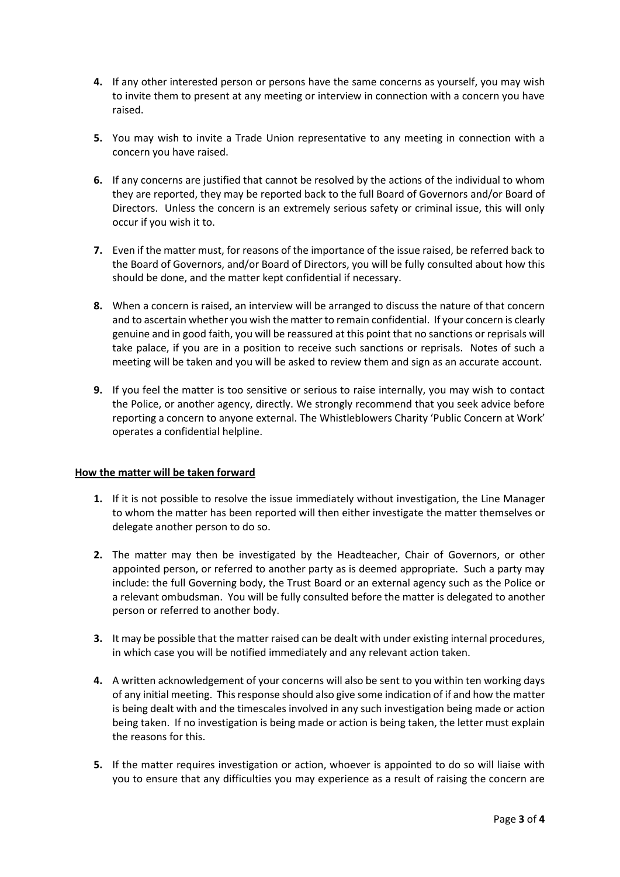- **4.** If any other interested person or persons have the same concerns as yourself, you may wish to invite them to present at any meeting or interview in connection with a concern you have raised.
- **5.** You may wish to invite a Trade Union representative to any meeting in connection with a concern you have raised.
- **6.** If any concerns are justified that cannot be resolved by the actions of the individual to whom they are reported, they may be reported back to the full Board of Governors and/or Board of Directors. Unless the concern is an extremely serious safety or criminal issue, this will only occur if you wish it to.
- **7.** Even if the matter must, for reasons of the importance of the issue raised, be referred back to the Board of Governors, and/or Board of Directors, you will be fully consulted about how this should be done, and the matter kept confidential if necessary.
- **8.** When a concern is raised, an interview will be arranged to discuss the nature of that concern and to ascertain whether you wish the matter to remain confidential. If your concern is clearly genuine and in good faith, you will be reassured at this point that no sanctions or reprisals will take palace, if you are in a position to receive such sanctions or reprisals. Notes of such a meeting will be taken and you will be asked to review them and sign as an accurate account.
- **9.** If you feel the matter is too sensitive or serious to raise internally, you may wish to contact the Police, or another agency, directly. We strongly recommend that you seek advice before reporting a concern to anyone external. The Whistleblowers Charity 'Public Concern at Work' operates a confidential helpline.

## **How the matter will be taken forward**

- **1.** If it is not possible to resolve the issue immediately without investigation, the Line Manager to whom the matter has been reported will then either investigate the matter themselves or delegate another person to do so.
- **2.** The matter may then be investigated by the Headteacher, Chair of Governors, or other appointed person, or referred to another party as is deemed appropriate. Such a party may include: the full Governing body, the Trust Board or an external agency such as the Police or a relevant ombudsman. You will be fully consulted before the matter is delegated to another person or referred to another body.
- **3.** It may be possible that the matter raised can be dealt with under existing internal procedures, in which case you will be notified immediately and any relevant action taken.
- **4.** A written acknowledgement of your concerns will also be sent to you within ten working days of any initial meeting. This response should also give some indication of if and how the matter is being dealt with and the timescales involved in any such investigation being made or action being taken. If no investigation is being made or action is being taken, the letter must explain the reasons for this.
- **5.** If the matter requires investigation or action, whoever is appointed to do so will liaise with you to ensure that any difficulties you may experience as a result of raising the concern are